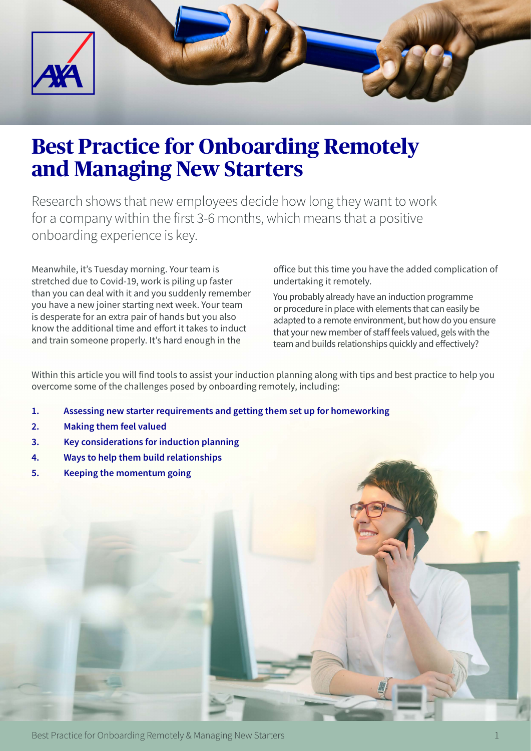

# **Best Practice for Onboarding Remotely and Managing New Starters**

Research shows that new employees decide how long they want to work for a company within the first 3-6 months, which means that a positive onboarding experience is key.

Meanwhile, it's Tuesday morning. Your team is stretched due to Covid-19, work is piling up faster than you can deal with it and you suddenly remember you have a new joiner starting next week. Your team is desperate for an extra pair of hands but you also know the additional time and effort it takes to induct and train someone properly. It's hard enough in the

office but this time you have the added complication of undertaking it remotely.

You probably already have an induction programme or procedure in place with elements that can easily be adapted to a remote environment, but how do you ensure that your new member of staff feels valued, gels with the team and builds relationships quickly and effectively?

Within this article you will find tools to assist your induction planning along with tips and best practice to help you overcome some of the challenges posed by onboarding remotely, including:

- **1. Assessing new starter requirements and getting them set up for homeworking**
- **2. Making them feel valued**
- **3. Key considerations for induction planning**
- **4. Ways to help them build relationships**
- **5. Keeping the momentum going**

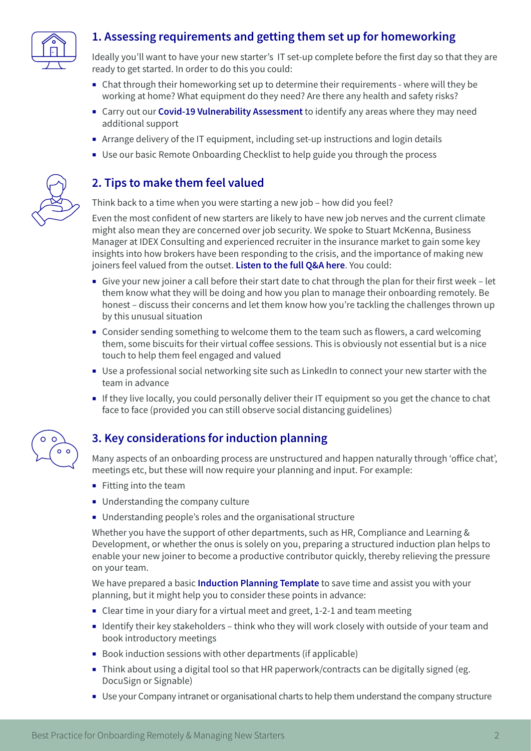

# **1. Assessing requirements and getting them set up for homeworking**

Ideally you'll want to have your new starter's IT set-up complete before the first day so that they are ready to get started. In order to do this you could:

- ¡ Chat through their homeworking set up to determine their requirements where will they be working at home? What equipment do they need? Are there any health and safety risks?
- ¡ Carry out our **[Covid-19 Vulnerability Assessment](https://www2.axa-insurance.co.uk/l/471271/2020-04-29/3kfqhq/471271/117583/Vulnerability___Word_Template___OK_V3.docx)** to identify any areas where they may need additional support
- ¡ Arrange delivery of the IT equipment, including set-up instructions and login details
- ¡ Use our basic Remote Onboarding Checklist to help guide you through the process

#### **2. Tips to make them feel valued**

Think back to a time when you were starting a new job – how did you feel?

Even the most confident of new starters are likely to have new job nerves and the current climate might also mean they are concerned over job security. We spoke to Stuart McKenna, Business Manager at IDEX Consulting and experienced recruiter in the insurance market to gain some key insights into how brokers have been responding to the crisis, and the importance of making new joiners feel valued from the outset. **[Listen to the full Q&A here](https://youtu.be/PkrbC1aHDpA)**. You could:

- ¡ Give your new joiner a call before their start date to chat through the plan for their first week let them know what they will be doing and how you plan to manage their onboarding remotely. Be honest – discuss their concerns and let them know how you're tackling the challenges thrown up by this unusual situation
- ¡ Consider sending something to welcome them to the team such as flowers, a card welcoming them, some biscuits for their virtual coffee sessions. This is obviously not essential but is a nice touch to help them feel engaged and valued
- Use a professional social networking site such as LinkedIn to connect your new starter with the team in advance
- ¡ If they live locally, you could personally deliver their IT equipment so you get the chance to chat face to face (provided you can still observe social distancing guidelines)



## **3. Key considerations for induction planning**

Many aspects of an onboarding process are unstructured and happen naturally through 'office chat', meetings etc, but these will now require your planning and input. For example:

- $\blacksquare$  Fitting into the team
- **■** Understanding the company culture
- ¡ Understanding people's roles and the organisational structure

Whether you have the support of other departments, such as HR, Compliance and Learning & Development, or whether the onus is solely on you, preparing a structured induction plan helps to enable your new joiner to become a productive contributor quickly, thereby relieving the pressure on your team.

We have prepared a basic **[Induction Planning Template](https://www2.axa-insurance.co.uk/l/471271/2020-04-29/3kfqhn/471271/117581/Induction_Plan_OK___V3.docx)** to save time and assist you with your planning, but it might help you to consider these points in advance:

- ¡ Clear time in your diary for a virtual meet and greet, 1-2-1 and team meeting
- Identify their key stakeholders think who they will work closely with outside of your team and book introductory meetings
- Book induction sessions with other departments (if applicable)
- Think about using a digital tool so that HR paperwork/contracts can be digitally signed (eg. DocuSign or Signable)
- Use your Company intranet or organisational charts to help them understand the company structure